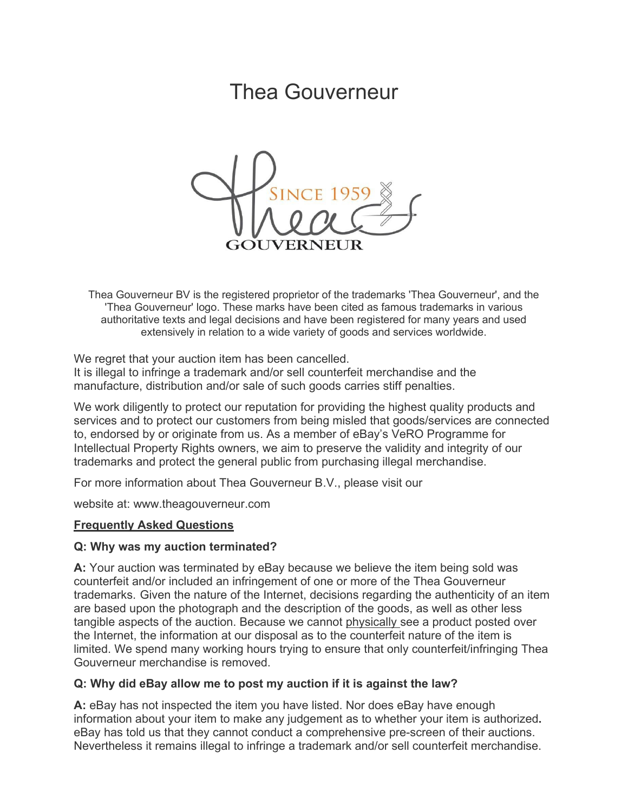# Thea Gouverneur



Thea Gouverneur BV is the registered proprietor of the trademarks 'Thea Gouverneur', and the 'Thea Gouverneur' logo. These marks have been cited as famous trademarks in various authoritative texts and legal decisions and have been registered for many years and used extensively in relation to a wide variety of goods and services worldwide.

We regret that your auction item has been cancelled.

It is illegal to infringe a trademark and/or sell counterfeit merchandise and the manufacture, distribution and/or sale of such goods carries stiff penalties.

We work diligently to protect our reputation for providing the highest quality products and services and to protect our customers from being misled that goods/services are connected to, endorsed by or originate from us. As a member of eBay's VeRO Programme for Intellectual Property Rights owners, we aim to preserve the validity and integrity of our trademarks and protect the general public from purchasing illegal merchandise.

For more information about Thea Gouverneur B.V., please visit our

website at: [www.theagouverneur.com](http://www.theagouverneur.com/)

#### **Frequently Asked Questions**

#### **Q: Why was my auction terminated?**

**A:** Your auction was terminated by eBay because we believe the item being sold was counterfeit and/or included an infringement of one or more of the Thea Gouverneur trademarks. Given the nature of the Internet, decisions regarding the authenticity of an item are based upon the photograph and the description of the goods, as well as other less tangible aspects of the auction. Because we cannot physically see a product posted over the Internet, the information at our disposal as to the counterfeit nature of the item is limited. We spend many working hours trying to ensure that only counterfeit/infringing Thea Gouverneur merchandise is removed.

#### **Q: Why did eBay allow me to post my auction if it is against the law?**

**A:** eBay has not inspected the item you have listed. Nor does eBay have enough information about your item to make any judgement as to whether your item is authorized**.** eBay has told us that they cannot conduct a comprehensive pre-screen of their auctions. Nevertheless it remains illegal to infringe a trademark and/or sell counterfeit merchandise.